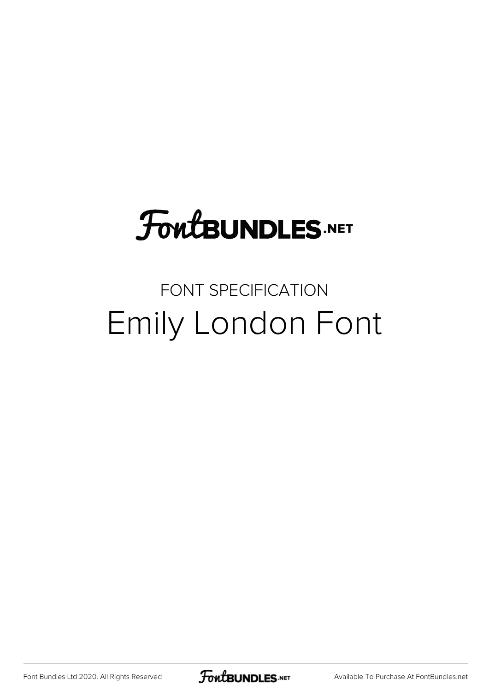# **FoutBUNDLES.NET**

### FONT SPECIFICATION Emily London Font

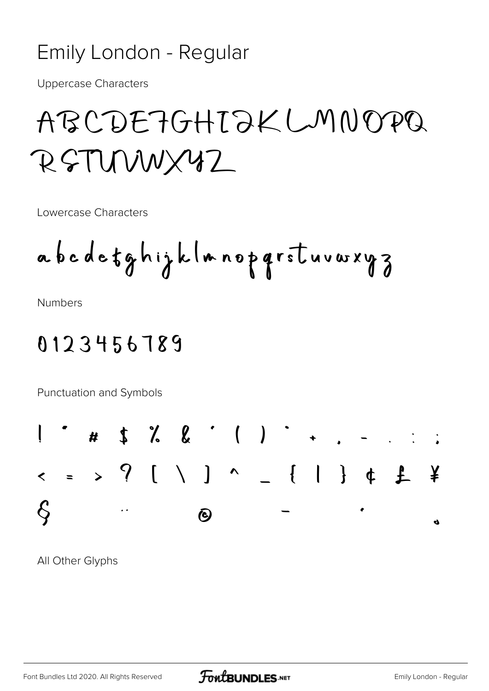#### **Emily London - Regular**

**Uppercase Characters** 

## ABCDE7GHIJKLMNOPO RSTUWWX4Z

Lowercase Characters

abcdetghijklnnoparstuvwxyz

**Numbers** 

#### 0123456789

Punctuation and Symbols



All Other Glyphs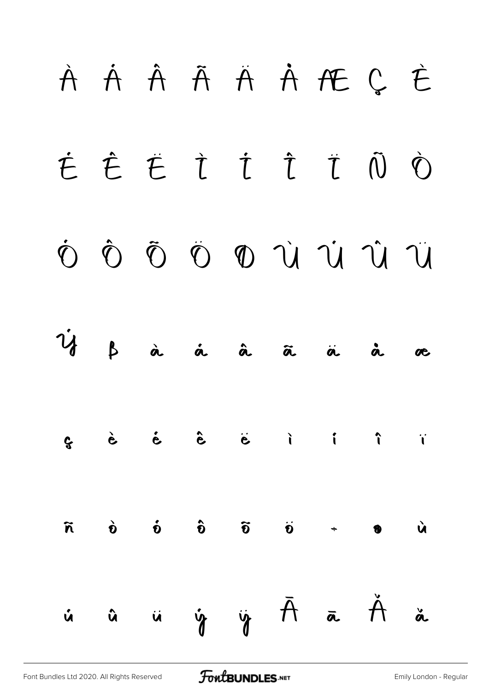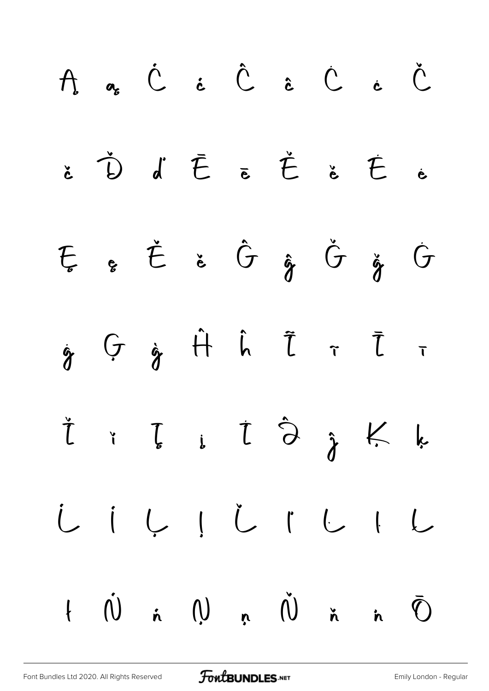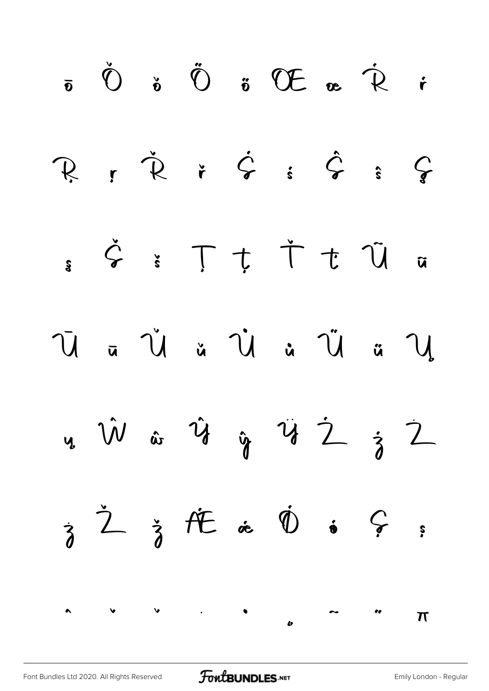